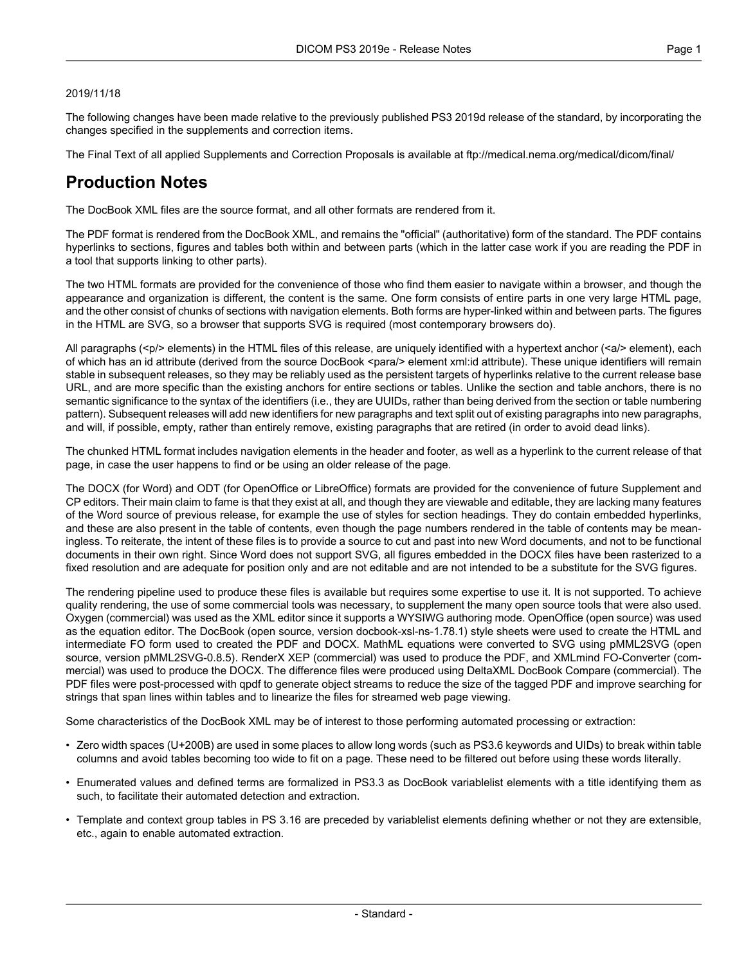#### 2019/11/18

The following changes have been made relative to the previously published PS3 2019d release of the standard, by incorporating the changes specified in the supplements and correction items.

The Final Text of all applied Supplements and Correction Proposals is available at <ftp://medical.nema.org/medical/dicom/final/>

# **Production Notes**

The DocBook XML files are the source format, and all other formats are rendered from it.

The PDF format is rendered from the DocBook XML, and remains the "official" (authoritative) form of the standard. The PDF contains hyperlinks to sections, figures and tables both within and between parts (which in the latter case work if you are reading the PDF in a tool that supports linking to other parts).

The two HTML formats are provided for the convenience of those who find them easier to navigate within a browser, and though the appearance and organization is different, the content is the same. One form consists of entire parts in one very large HTML page, and the other consist of chunks of sections with navigation elements. Both forms are hyper-linked within and between parts. The figures in the HTML are SVG, so a browser that supports SVG is required (most contemporary browsers do).

All paragraphs (<p/> elements) in the HTML files of this release, are uniquely identified with a hypertext anchor (<a/><a/>> element), each of which has an id attribute (derived from the source DocBook <para/> element xml:id attribute). These unique identifiers will remain stable in subsequent releases, so they may be reliably used as the persistent targets of hyperlinks relative to the current release base URL, and are more specific than the existing anchors for entire sections or tables. Unlike the section and table anchors, there is no semantic significance to the syntax of the identifiers (i.e., they are UUIDs, rather than being derived from the section or table numbering pattern). Subsequent releases will add new identifiers for new paragraphs and text split out of existing paragraphs into new paragraphs, and will, if possible, empty, rather than entirely remove, existing paragraphs that are retired (in order to avoid dead links).

The chunked HTML format includes navigation elements in the header and footer, as well as a hyperlink to the current release of that page, in case the user happens to find or be using an older release of the page.

The DOCX (for Word) and ODT (for OpenOffice or LibreOffice) formats are provided for the convenience of future Supplement and CP editors. Their main claim to fame is that they exist at all, and though they are viewable and editable, they are lacking many features of the Word source of previous release, for example the use of styles for section headings. They do contain embedded hyperlinks, and these are also present in the table of contents, even though the page numbers rendered in the table of contents may be mean ingless. To reiterate, the intent of these files is to provide a source to cut and past into new Word documents, and not to be functional documents in their own right. Since Word does not support SVG, all figures embedded in the DOCX files have been rasterized to a fixed resolution and are adequate for position only and are not editable and are not intended to be a substitute for the SVG figures.

The rendering pipeline used to produce these files is available but requires some expertise to use it. It is not supported. To achieve quality rendering, the use of some commercial tools was necessary, to supplement the many open source tools that were also used. Oxygen (commercial) was used as the XML editor since it supports a WYSIWG authoring mode. OpenOffice (open source) was used as the equation editor. The DocBook (open source, version docbook-xsl-ns-1.78.1) style sheets were used to create the HTML and intermediate FO form used to created the PDF and DOCX. MathML equations were converted to SVG using pMML2SVG (open source, version pMML2SVG-0.8.5). RenderX XEP (commercial) was used to produce the PDF, and XMLmind FO-Converter (com mercial) was used to produce the DOCX. The difference files were produced using DeltaXML DocBook Compare (commercial). The PDF files were post-processed with qpdf to generate object streams to reduce the size of the tagged PDF and improve searching for strings that span lines within tables and to linearize the files for streamed web page viewing.

Some characteristics of the DocBook XML may be of interest to those performing automated processing or extraction:

- Zero width spaces (U+200B) are used in some places to allow long words (such as PS3.6 keywords and UIDs) to break within table columns and avoid tables becoming too wide to fit on a page. These need to be filtered out before using these words literally.
- Enumerated values and defined terms are formalized in PS3.3 as DocBook variablelist elements with a title identifying them as such, to facilitate their automated detection and extraction.
- Template and context group tables in PS 3.16 are preceded by variablelist elements defining whether or not they are extensible, etc., again to enable automated extraction.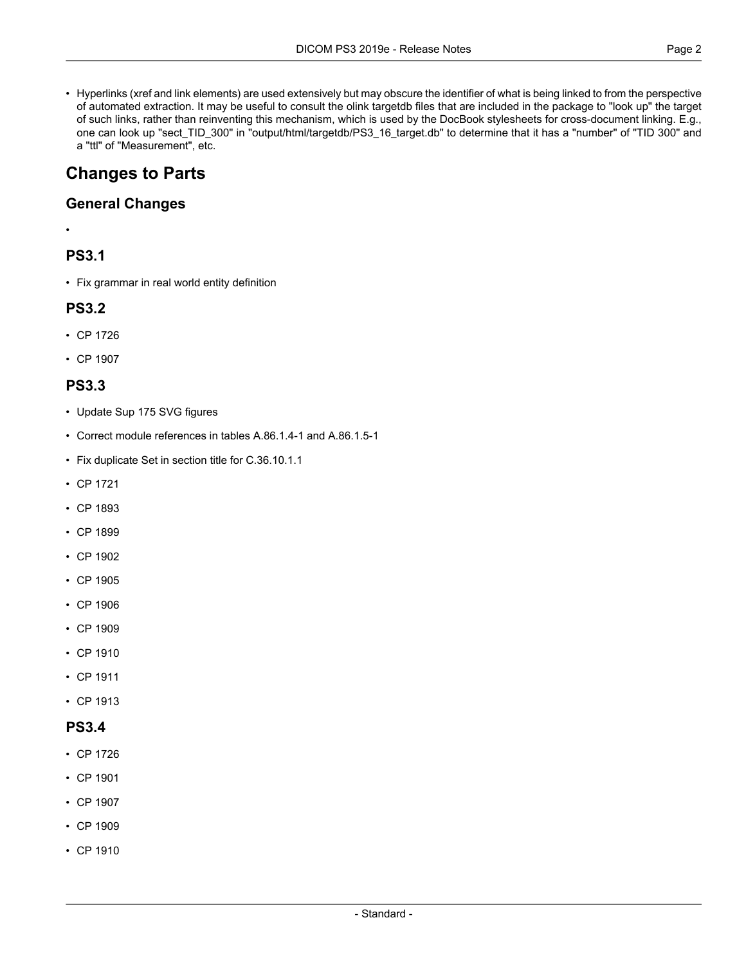• Hyperlinks (xref and link elements) are used extensively but may obscure the identifier of what is being linked to from the perspective of automated extraction. It may be useful to consult the olink targetdb files that are included in the package to "look up" the target of such links, rather than reinventing this mechanism, which is used by the DocBook stylesheets for cross-document linking. E.g., one can look up "sect\_TID\_300" in "output/html/targetdb/PS3\_16\_target.db" to determine that it has a "number" of "TID 300" and a "ttl" of "Measurement", etc.

# **Changes to Parts**

### **General Changes**

#### •

# **PS3.1**

• Fix grammar in real world entity definition

# **PS3.2**

- CP [1726](#page-3-0)
- CP [1907](#page-4-0)

# **PS3.3**

- Update Sup 175 SVG figures
- Correct module references in tables A.86.1.4-1 and A.86.1.5-1
- Fix duplicate Set in section title for C.36.10.1.1
- CP [1721](#page-3-1)
- CP [1893](#page-4-1)
- CP [1899](#page-4-2)
- CP [1902](#page-4-3)
- CP [1905](#page-4-4)
- CP [1906](#page-4-5)
- CP [1909](#page-4-6)
- CP [1910](#page-4-7)
- CP [1911](#page-4-8)
- CP [1913](#page-4-9)

### **PS3.4**

- CP [1726](#page-3-0)
- CP [1901](#page-4-10)
- CP [1907](#page-4-0)
- CP [1909](#page-4-6)
- CP [1910](#page-4-7)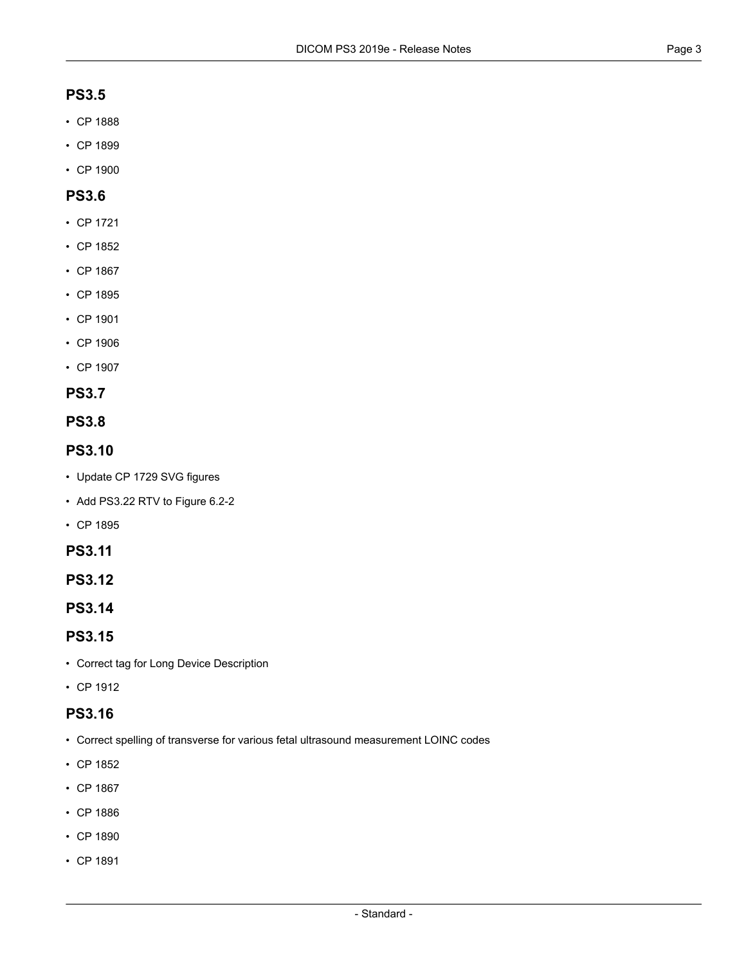#### **PS3.5**

- CP [1888](#page-3-2)
- CP [1899](#page-4-2)
- CP [1900](#page-4-11)

### **PS3.6**

- CP [1721](#page-3-1)
- CP [1852](#page-3-3)
- CP [1867](#page-3-4)
- CP [1895](#page-4-12)
- CP [1901](#page-4-10)
- CP [1906](#page-4-5)
- CP [1907](#page-4-0)

#### **PS3.7**

**PS3.8**

### **PS3.10**

- Update CP 1729 SVG figures
- Add PS3.22 RTV to Figure 6.2-2
- CP [1895](#page-4-12)

#### **PS3.11**

**PS3.12**

```
PS3.14
```
### **PS3.15**

- Correct tag for Long Device Description
- CP [1912](#page-4-13)

# **PS3.16**

- Correct spelling of transverse for various fetal ultrasound measurement LOINC codes
- CP [1852](#page-3-3)
- CP [1867](#page-3-4)
- CP [1886](#page-3-5)
- CP [1890](#page-3-6)
- CP [1891](#page-4-14)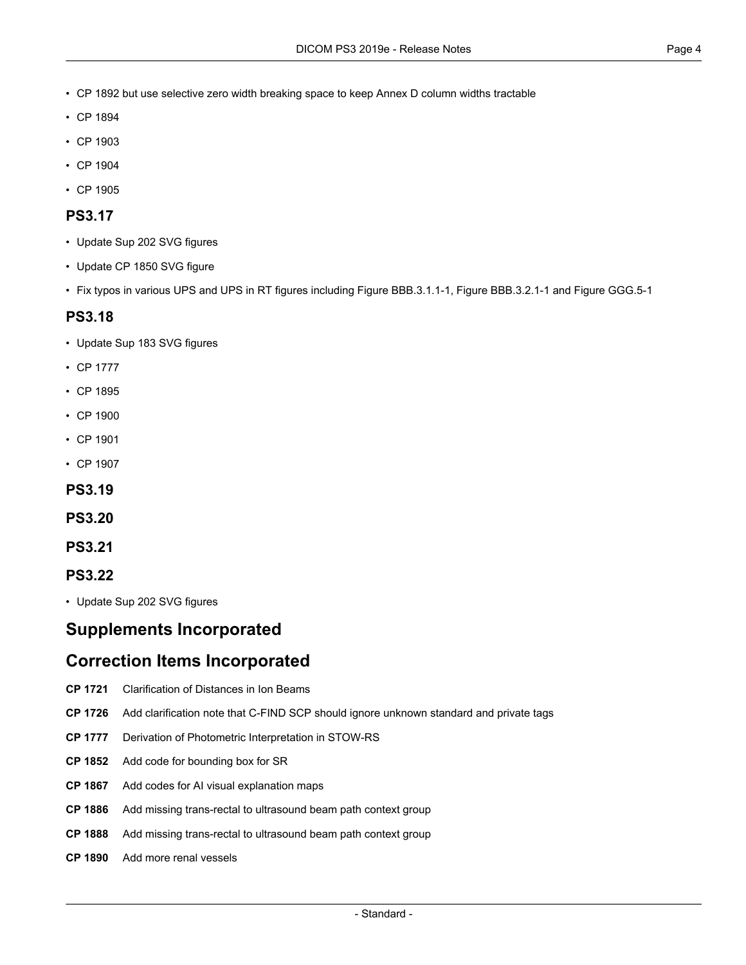- CP [1892](#page-4-15) but use selective zero width breaking space to keep Annex D column widths tractable
- CP [1894](#page-4-16)
- CP [1903](#page-4-17)
- CP [1904](#page-4-18)
- CP [1905](#page-4-4)

#### **PS3.17**

- Update Sup 202 SVG figures
- Update CP 1850 SVG figure
- Fix typos in various UPS and UPS in RT figures including Figure BBB.3.1.1-1, Figure BBB.3.2.1-1 and Figure GGG.5-1

#### **PS3.18**

- Update Sup 183 SVG figures
- CP [1777](#page-3-7)
- CP [1895](#page-4-12)
- CP [1900](#page-4-11)
- CP [1901](#page-4-10)
- CP [1907](#page-4-0)

#### **PS3.19**

- **PS3.20**
- **PS3.21**

#### **PS3.22**

• Update Sup 202 SVG figures

# <span id="page-3-1"></span><span id="page-3-0"></span>**Supplements Incorporated**

# <span id="page-3-7"></span>**Correction Items Incorporated**

- <span id="page-3-3"></span>**CP [1721](ftp://medical.nema.org/medical/dicom/final/cp1721_ft_ClarificationOfDistancesInIonBeams.pdf)** Clarification of Distances in Ion Beams
- <span id="page-3-4"></span>**CP [1726](ftp://medical.nema.org/medical/dicom/final/cp1726_ft_Add_note_to_ignore_unknown_tags_on_cfind.pdf)** Add clarification note that C-FIND SCP should ignore unknown standard and private tags
- <span id="page-3-5"></span>**CP [1777](ftp://medical.nema.org/medical/dicom/final/cp1777_ft_STOW-RS_PhotometricInterpretationDerivation.pdf)** Derivation of Photometric Interpretation in STOW-RS
- <span id="page-3-2"></span>**CP [1852](ftp://medical.nema.org/medical/dicom/final/cp1852_ft_addboundedby.pdf)** Add code for bounding box for SR
- <span id="page-3-6"></span>**CP [1867](ftp://medical.nema.org/medical/dicom/final/cp1867_ft_aivisualexplanations.pdf)** Add codes for AI visual explanation maps
- **CP [1886](ftp://medical.nema.org/medical/dicom/final/cp1886_ft_transrectalbeampath.pdf)** Add missing trans-rectal to ultrasound beam path context group
- **CP [1888](ftp://medical.nema.org/medical/dicom/final/cp1888_ft_newvrsandlengthsforexplicit.pdf)** Add missing trans-rectal to ultrasound beam path context group
- **CP [1890](ftp://medical.nema.org/medical/dicom/final/cp1890_ft_renalintralobular.pdf)** Add more renal vessels